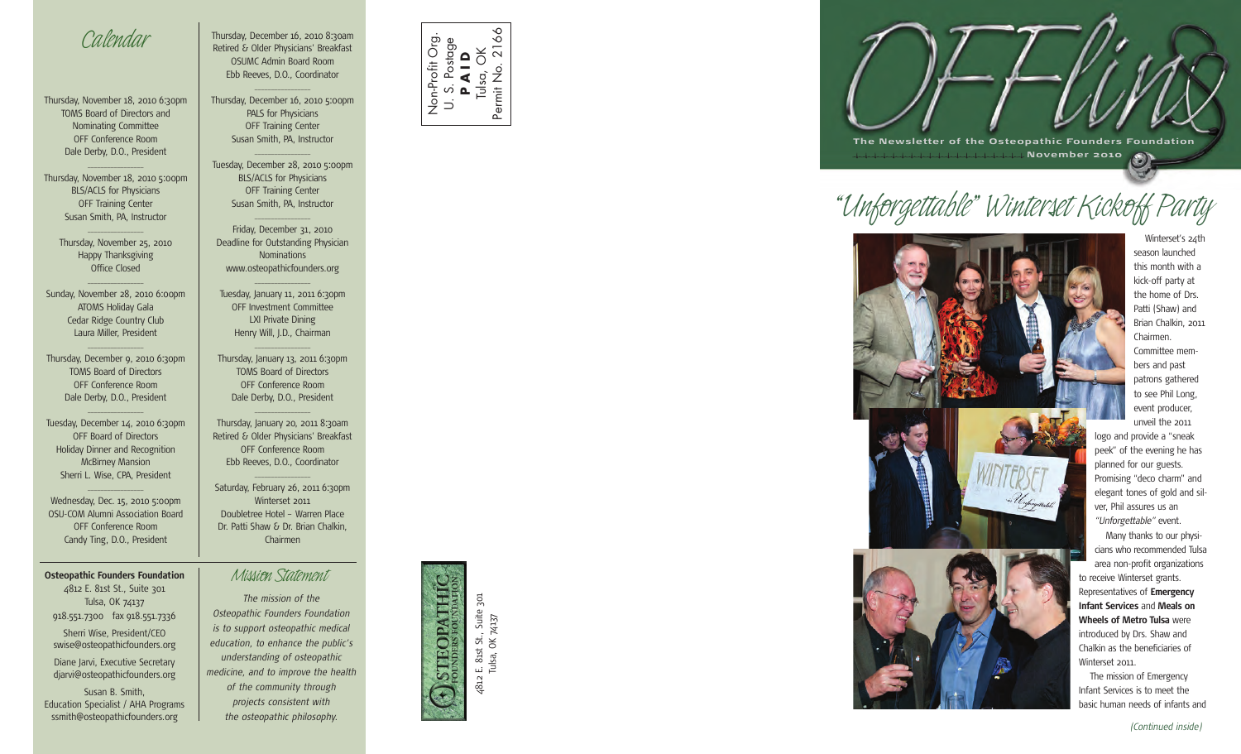## *Calendar*

Thursday, November 18, 2010 6:30pm TOMS Board of Directors and Nominating Committee OFF Conference Room Dale Derby, D.O., President

 $\overline{\phantom{a}}$  , where  $\overline{\phantom{a}}$ 

Thursday, November 18, 2010 5:00pm BLS/ACLS for Physicians OFF Training Center Susan Smith, PA, Instructor

Thursday, November 25, 2010 Happy Thanksgiving Office Closed

 $\overline{\phantom{a}}$  , where  $\overline{\phantom{a}}$ 

Sunday, November 28, 2010 6:00pm ATOMS Holiday Gala Cedar Ridge Country Club Laura Miller, President

 $\overline{\phantom{a}}$  , where  $\overline{\phantom{a}}$ 

 $\overline{\phantom{a}}$  , where  $\overline{\phantom{a}}$ 

Thursday, December 9, 2010 6:30pm TOMS Board of Directors OFF Conference Room Dale Derby, D.O., President

 $\overline{\phantom{a}}$  , where  $\overline{\phantom{a}}$ 

Tuesday, December 14, 2010 6:30pm OFF Board of Directors Holiday Dinner and Recognition McBirney Mansion Sherri L. Wise, CPA, President

Wednesday, Dec. 15, 2010 5:00pm OSU-COM Alumni Association Board OFF Conference Room Candy Ting, D.O., President

 $\overline{\phantom{a}}$  , where  $\overline{\phantom{a}}$ 

#### **Osteopathic Founders Foundation** *Mission Statement*

4812 E. 81st St., Suite 301 Tulsa, OK 74137 918.551.7300 fax 918.551.7336 Sherri Wise, President/CEO swise@osteopathicfounders.org

Diane Jarvi, Executive Secretary djarvi@osteopathicfounders.org

Susan B. Smith, Education Specialist / AHA Programs ssmith@osteopathicfounders.org

Thursday, December 16, 2010 8:30am Retired & Older Physicians' Breakfast OSUMC Admin Board Room Ebb Reeves, D.O., Coordinator  $\overline{\phantom{a}}$  , where  $\overline{\phantom{a}}$ 

Thursday, December 16, 2010 5:00pm PALS for Physicians OFF Training Center Susan Smith, PA, Instructor  $\overline{\phantom{a}}$  , where  $\overline{\phantom{a}}$ 

Tuesday, December 28, 2010 5:00pm BLS/ACLS for Physicians OFF Training Center Susan Smith, PA, Instructor

Friday, December 31, 2010 Deadline for Outstanding Physician **Nominations** www.osteopathicfounders.org

 $\overline{\phantom{a}}$  , where  $\overline{\phantom{a}}$ 

 $\overline{\phantom{a}}$  , where  $\overline{\phantom{a}}$ 

Tuesday, January 11, 2011 6:30pm OFF Investment Committee LXI Private Dining Henry Will, J.D., Chairman

Thursday, January 13, 2011 6:30pm TOMS Board of Directors OFF Conference Room Dale Derby, D.O., President

 $\overline{\phantom{a}}$  , where  $\overline{\phantom{a}}$ 

Thursday, January 20, 2011 8:30am Retired & Older Physicians' Breakfast OFF Conference Room Ebb Reeves, D.O., Coordinator

 $\overline{\phantom{a}}$  , where  $\overline{\phantom{a}}$ 

 $\overline{\phantom{a}}$  , where  $\overline{\phantom{a}}$ 

Saturday, February 26, 2011 6:30pm Winterset 2011 Doubletree Hotel – Warren Place Dr. Patti Shaw & Dr. Brian Chalkin, Chairmen

*The mission of the Osteopathic Founders Foundation is to support osteopathic medical education, to enhance the public's understanding of osteopathic medicine, and to improve the health of the community through projects consistent with the osteopathic philosophy.*



4812 E. 81st St., Suite 301 Tulsa, OK 74137

4812

2 E. 81st St., Suite 301<br>Tulsa, OK 74137

**HOPATHIC** 



# *"Unforgettable" Winterset Kickoff Party*





Winterset's 24th season launched this month with a kick-off party at the home of Drs. Patti (Shaw) and Brian Chalkin, 2011 Chairmen. Committee members and past patrons gathered to see Phil Long, event producer, unveil the 2011 logo and provide a "sneak peek" of the evening he has planned for our guests. Promising "deco charm" and elegant tones of gold and silver, Phil assures us an *"Unforgettable"* event. Many thanks to our physicians who recommended Tulsa area non-profit organizations to receive Winterset grants. Representatives of **Emergency Infant Services** and **Meals on Wheels of Metro Tulsa** were introduced by Drs. Shaw and Chalkin as the beneficiaries of Winterset 2011. The mission of Emergency Infant Services is to meet the

*(Continued inside)*

basic human needs of infants and